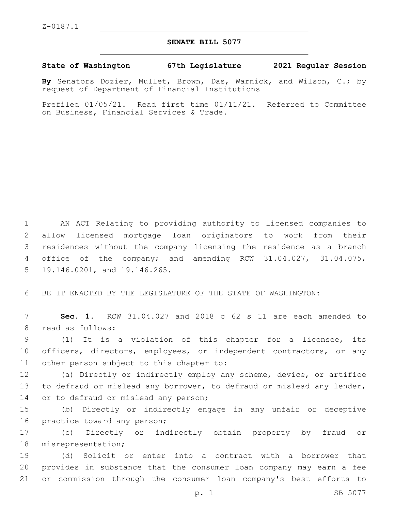## **SENATE BILL 5077**

**State of Washington 67th Legislature 2021 Regular Session**

**By** Senators Dozier, Mullet, Brown, Das, Warnick, and Wilson, C.; by request of Department of Financial Institutions

Prefiled 01/05/21. Read first time 01/11/21. Referred to Committee on Business, Financial Services & Trade.

 AN ACT Relating to providing authority to licensed companies to allow licensed mortgage loan originators to work from their residences without the company licensing the residence as a branch office of the company; and amending RCW 31.04.027, 31.04.075, 5 19.146.0201, and 19.146.265.

6 BE IT ENACTED BY THE LEGISLATURE OF THE STATE OF WASHINGTON:

7 **Sec. 1.** RCW 31.04.027 and 2018 c 62 s 11 are each amended to 8 read as follows:

9 (1) It is a violation of this chapter for a licensee, its 10 officers, directors, employees, or independent contractors, or any 11 other person subject to this chapter to:

12 (a) Directly or indirectly employ any scheme, device, or artifice 13 to defraud or mislead any borrower, to defraud or mislead any lender, 14 or to defraud or mislead any person;

15 (b) Directly or indirectly engage in any unfair or deceptive 16 practice toward any person;

17 (c) Directly or indirectly obtain property by fraud or 18 misrepresentation;

19 (d) Solicit or enter into a contract with a borrower that 20 provides in substance that the consumer loan company may earn a fee 21 or commission through the consumer loan company's best efforts to

p. 1 SB 5077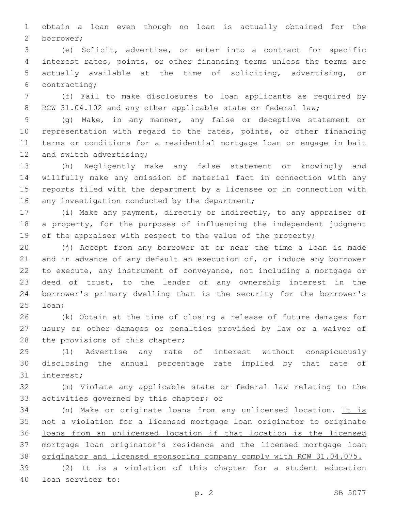obtain a loan even though no loan is actually obtained for the borrower;2

 (e) Solicit, advertise, or enter into a contract for specific interest rates, points, or other financing terms unless the terms are actually available at the time of soliciting, advertising, or 6 contracting;

 (f) Fail to make disclosures to loan applicants as required by 8 RCW 31.04.102 and any other applicable state or federal law;

 (g) Make, in any manner, any false or deceptive statement or representation with regard to the rates, points, or other financing terms or conditions for a residential mortgage loan or engage in bait 12 and switch advertising;

 (h) Negligently make any false statement or knowingly and willfully make any omission of material fact in connection with any reports filed with the department by a licensee or in connection with 16 any investigation conducted by the department;

 (i) Make any payment, directly or indirectly, to any appraiser of a property, for the purposes of influencing the independent judgment 19 of the appraiser with respect to the value of the property;

 (j) Accept from any borrower at or near the time a loan is made 21 and in advance of any default an execution of, or induce any borrower to execute, any instrument of conveyance, not including a mortgage or deed of trust, to the lender of any ownership interest in the borrower's primary dwelling that is the security for the borrower's 25 loan;

 (k) Obtain at the time of closing a release of future damages for usury or other damages or penalties provided by law or a waiver of 28 the provisions of this chapter;

 (l) Advertise any rate of interest without conspicuously disclosing the annual percentage rate implied by that rate of 31 interest;

 (m) Violate any applicable state or federal law relating to the 33 activities governed by this chapter; or

 (n) Make or originate loans from any unlicensed location. It is not a violation for a licensed mortgage loan originator to originate loans from an unlicensed location if that location is the licensed mortgage loan originator's residence and the licensed mortgage loan 38 originator and licensed sponsoring company comply with RCW 31.04.075.

 (2) It is a violation of this chapter for a student education 40 loan servicer to: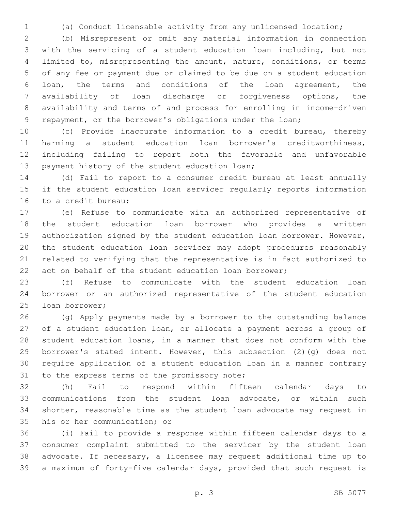(a) Conduct licensable activity from any unlicensed location;

 (b) Misrepresent or omit any material information in connection with the servicing of a student education loan including, but not limited to, misrepresenting the amount, nature, conditions, or terms of any fee or payment due or claimed to be due on a student education loan, the terms and conditions of the loan agreement, the availability of loan discharge or forgiveness options, the availability and terms of and process for enrolling in income-driven repayment, or the borrower's obligations under the loan;

 (c) Provide inaccurate information to a credit bureau, thereby harming a student education loan borrower's creditworthiness, including failing to report both the favorable and unfavorable 13 payment history of the student education loan;

 (d) Fail to report to a consumer credit bureau at least annually if the student education loan servicer regularly reports information 16 to a credit bureau:

 (e) Refuse to communicate with an authorized representative of the student education loan borrower who provides a written authorization signed by the student education loan borrower. However, the student education loan servicer may adopt procedures reasonably related to verifying that the representative is in fact authorized to act on behalf of the student education loan borrower;

 (f) Refuse to communicate with the student education loan borrower or an authorized representative of the student education 25 loan borrower;

 (g) Apply payments made by a borrower to the outstanding balance of a student education loan, or allocate a payment across a group of student education loans, in a manner that does not conform with the borrower's stated intent. However, this subsection (2)(g) does not require application of a student education loan in a manner contrary 31 to the express terms of the promissory note;

 (h) Fail to respond within fifteen calendar days to communications from the student loan advocate, or within such shorter, reasonable time as the student loan advocate may request in 35 his or her communication; or

 (i) Fail to provide a response within fifteen calendar days to a consumer complaint submitted to the servicer by the student loan advocate. If necessary, a licensee may request additional time up to a maximum of forty-five calendar days, provided that such request is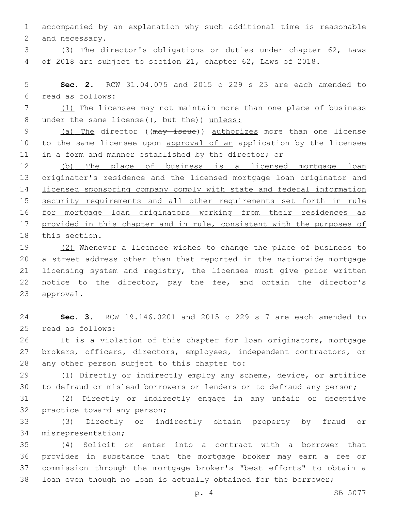1 accompanied by an explanation why such additional time is reasonable 2 and necessary.

3 (3) The director's obligations or duties under chapter 62, Laws 4 of 2018 are subject to section 21, chapter 62, Laws of 2018.

5 **Sec. 2.** RCW 31.04.075 and 2015 c 229 s 23 are each amended to read as follows:6

7 (1) The licensee may not maintain more than one place of business 8 under the same license( $(\tau$  but the)) unless:

9 (a) The director ((may issue)) authorizes more than one license 10 to the same licensee upon approval of an application by the licensee 11 in a form and manner established by the director; or

 (b) The place of business is a licensed mortgage loan originator's residence and the licensed mortgage loan originator and licensed sponsoring company comply with state and federal information security requirements and all other requirements set forth in rule for mortgage loan originators working from their residences as provided in this chapter and in rule, consistent with the purposes of 18 this section.

19 (2) Whenever a licensee wishes to change the place of business to 20 a street address other than that reported in the nationwide mortgage 21 licensing system and registry, the licensee must give prior written 22 notice to the director, pay the fee, and obtain the director's 23 approval.

24 **Sec. 3.** RCW 19.146.0201 and 2015 c 229 s 7 are each amended to 25 read as follows:

26 It is a violation of this chapter for loan originators, mortgage 27 brokers, officers, directors, employees, independent contractors, or 28 any other person subject to this chapter to:

29 (1) Directly or indirectly employ any scheme, device, or artifice 30 to defraud or mislead borrowers or lenders or to defraud any person;

31 (2) Directly or indirectly engage in any unfair or deceptive 32 practice toward any person;

33 (3) Directly or indirectly obtain property by fraud or 34 misrepresentation;

 (4) Solicit or enter into a contract with a borrower that provides in substance that the mortgage broker may earn a fee or commission through the mortgage broker's "best efforts" to obtain a loan even though no loan is actually obtained for the borrower;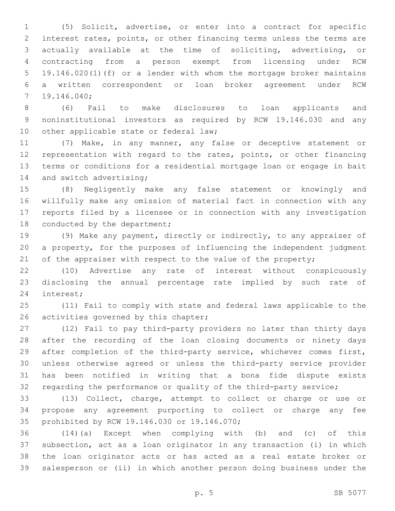(5) Solicit, advertise, or enter into a contract for specific interest rates, points, or other financing terms unless the terms are actually available at the time of soliciting, advertising, or contracting from a person exempt from licensing under RCW 19.146.020(1)(f) or a lender with whom the mortgage broker maintains a written correspondent or loan broker agreement under RCW 19.146.040;7

 (6) Fail to make disclosures to loan applicants and noninstitutional investors as required by RCW 19.146.030 and any 10 other applicable state or federal law;

 (7) Make, in any manner, any false or deceptive statement or representation with regard to the rates, points, or other financing terms or conditions for a residential mortgage loan or engage in bait 14 and switch advertising;

 (8) Negligently make any false statement or knowingly and willfully make any omission of material fact in connection with any reports filed by a licensee or in connection with any investigation 18 conducted by the department;

 (9) Make any payment, directly or indirectly, to any appraiser of a property, for the purposes of influencing the independent judgment 21 of the appraiser with respect to the value of the property;

 (10) Advertise any rate of interest without conspicuously disclosing the annual percentage rate implied by such rate of 24 interest;

 (11) Fail to comply with state and federal laws applicable to the 26 activities governed by this chapter;

 (12) Fail to pay third-party providers no later than thirty days after the recording of the loan closing documents or ninety days after completion of the third-party service, whichever comes first, unless otherwise agreed or unless the third-party service provider has been notified in writing that a bona fide dispute exists regarding the performance or quality of the third-party service;

 (13) Collect, charge, attempt to collect or charge or use or propose any agreement purporting to collect or charge any fee 35 prohibited by RCW 19.146.030 or 19.146.070;

 (14)(a) Except when complying with (b) and (c) of this subsection, act as a loan originator in any transaction (i) in which the loan originator acts or has acted as a real estate broker or salesperson or (ii) in which another person doing business under the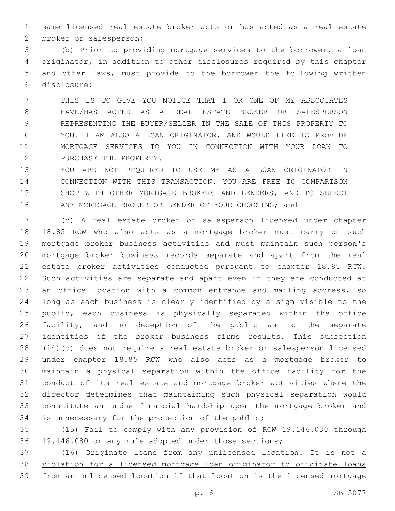same licensed real estate broker acts or has acted as a real estate 2 broker or salesperson;

 (b) Prior to providing mortgage services to the borrower, a loan originator, in addition to other disclosures required by this chapter and other laws, must provide to the borrower the following written disclosure:6

 THIS IS TO GIVE YOU NOTICE THAT I OR ONE OF MY ASSOCIATES HAVE/HAS ACTED AS A REAL ESTATE BROKER OR SALESPERSON REPRESENTING THE BUYER/SELLER IN THE SALE OF THIS PROPERTY TO YOU. I AM ALSO A LOAN ORIGINATOR, AND WOULD LIKE TO PROVIDE MORTGAGE SERVICES TO YOU IN CONNECTION WITH YOUR LOAN TO 12 PURCHASE THE PROPERTY.

 YOU ARE NOT REQUIRED TO USE ME AS A LOAN ORIGINATOR IN CONNECTION WITH THIS TRANSACTION. YOU ARE FREE TO COMPARISON SHOP WITH OTHER MORTGAGE BROKERS AND LENDERS, AND TO SELECT ANY MORTGAGE BROKER OR LENDER OF YOUR CHOOSING; and

 (c) A real estate broker or salesperson licensed under chapter 18.85 RCW who also acts as a mortgage broker must carry on such mortgage broker business activities and must maintain such person's mortgage broker business records separate and apart from the real estate broker activities conducted pursuant to chapter 18.85 RCW. Such activities are separate and apart even if they are conducted at 23 an office location with a common entrance and mailing address, so long as each business is clearly identified by a sign visible to the public, each business is physically separated within the office facility, and no deception of the public as to the separate identities of the broker business firms results. This subsection (14)(c) does not require a real estate broker or salesperson licensed under chapter 18.85 RCW who also acts as a mortgage broker to maintain a physical separation within the office facility for the conduct of its real estate and mortgage broker activities where the director determines that maintaining such physical separation would constitute an undue financial hardship upon the mortgage broker and 34 is unnecessary for the protection of the public;

 (15) Fail to comply with any provision of RCW 19.146.030 through 19.146.080 or any rule adopted under those sections;

 (16) Originate loans from any unlicensed location. It is not a violation for a licensed mortgage loan originator to originate loans from an unlicensed location if that location is the licensed mortgage